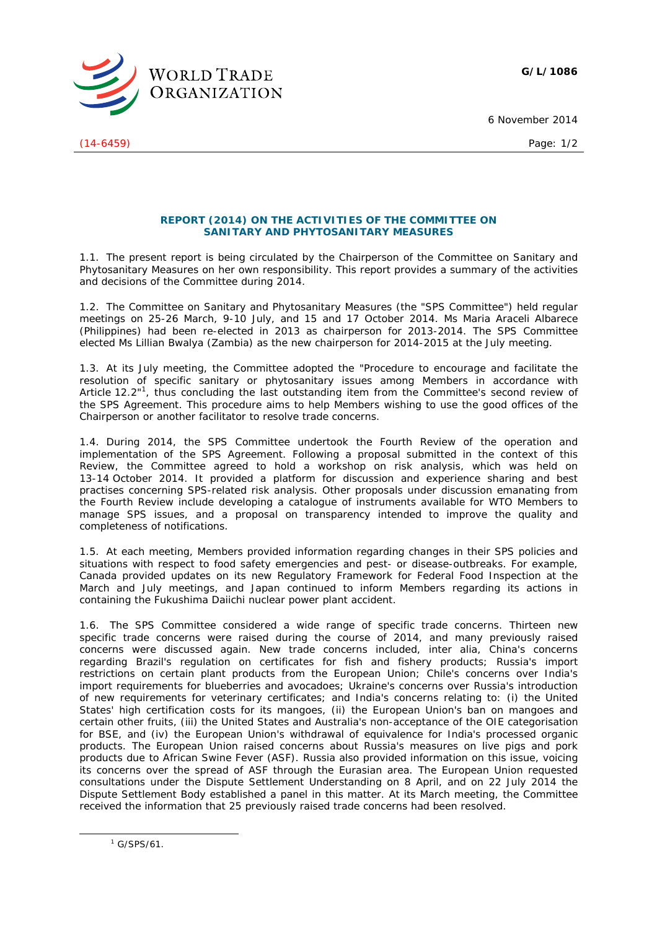**G/L/1086**



(14-6459) Page: 1/2

6 November 2014

## **REPORT (2014) ON THE ACTIVITIES OF THE COMMITTEE ON SANITARY AND PHYTOSANITARY MEASURES**

1.1. The present report is being circulated by the Chairperson of the Committee on Sanitary and Phytosanitary Measures on her own responsibility. This report provides a summary of the activities and decisions of the Committee during 2014.

1.2. The Committee on Sanitary and Phytosanitary Measures (the "SPS Committee") held regular meetings on 25-26 March, 9-10 July, and 15 and 17 October 2014. Ms Maria Araceli Albarece (Philippines) had been re-elected in 2013 as chairperson for 2013-2014. The SPS Committee elected Ms Lillian Bwalya (Zambia) as the new chairperson for 2014-2015 at the July meeting.

1.3. At its July meeting, the Committee adopted the "Procedure to encourage and facilitate the resolution of specific sanitary or phytosanitary issues among Members in accordance with Article 12.2"<sup>1</sup>, thus concluding the last outstanding item from the Committee's second review of the SPS Agreement. This procedure aims to help Members wishing to use the good offices of the Chairperson or another facilitator to resolve trade concerns.

1.4. During 2014, the SPS Committee undertook the Fourth Review of the operation and implementation of the SPS Agreement. Following a proposal submitted in the context of this Review, the Committee agreed to hold a workshop on risk analysis, which was held on 13-14 October 2014. It provided a platform for discussion and experience sharing and best practises concerning SPS-related risk analysis. Other proposals under discussion emanating from the Fourth Review include developing a catalogue of instruments available for WTO Members to manage SPS issues, and a proposal on transparency intended to improve the quality and completeness of notifications.

1.5. At each meeting, Members provided information regarding changes in their SPS policies and situations with respect to food safety emergencies and pest- or disease-outbreaks. For example, Canada provided updates on its new Regulatory Framework for Federal Food Inspection at the March and July meetings, and Japan continued to inform Members regarding its actions in containing the Fukushima Daiichi nuclear power plant accident.

1.6. The SPS Committee considered a wide range of specific trade concerns. Thirteen new specific trade concerns were raised during the course of 2014, and many previously raised concerns were discussed again. New trade concerns included, *inter alia*, China's concerns regarding Brazil's regulation on certificates for fish and fishery products; Russia's import restrictions on certain plant products from the European Union; Chile's concerns over India's import requirements for blueberries and avocadoes; Ukraine's concerns over Russia's introduction of new requirements for veterinary certificates; and India's concerns relating to: (i) the United States' high certification costs for its mangoes, (ii) the European Union's ban on mangoes and certain other fruits, (iii) the United States and Australia's non-acceptance of the OIE categorisation for BSE, and (iv) the European Union's withdrawal of equivalence for India's processed organic products. The European Union raised concerns about Russia's measures on live pigs and pork products due to African Swine Fever (ASF). Russia also provided information on this issue, voicing its concerns over the spread of ASF through the Eurasian area. The European Union requested consultations under the Dispute Settlement Understanding on 8 April, and on 22 July 2014 the Dispute Settlement Body established a panel in this matter. At its March meeting, the Committee received the information that 25 previously raised trade concerns had been resolved.